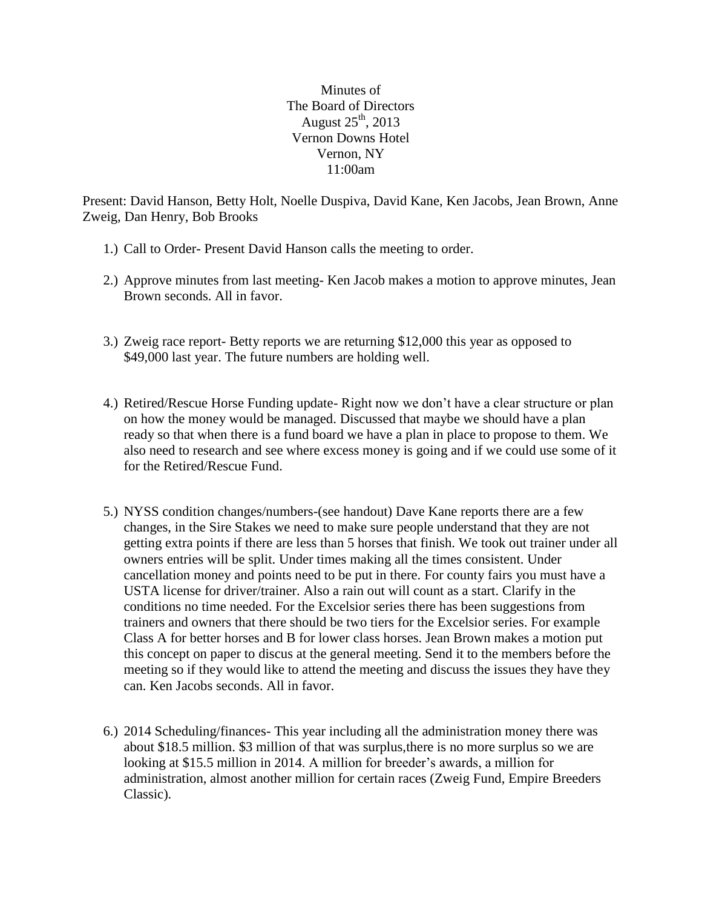Minutes of The Board of Directors August  $25<sup>th</sup>$ , 2013 Vernon Downs Hotel Vernon, NY 11:00am

Present: David Hanson, Betty Holt, Noelle Duspiva, David Kane, Ken Jacobs, Jean Brown, Anne Zweig, Dan Henry, Bob Brooks

- 1.) Call to Order- Present David Hanson calls the meeting to order.
- 2.) Approve minutes from last meeting- Ken Jacob makes a motion to approve minutes, Jean Brown seconds. All in favor.
- 3.) Zweig race report- Betty reports we are returning \$12,000 this year as opposed to \$49,000 last year. The future numbers are holding well.
- 4.) Retired/Rescue Horse Funding update- Right now we don't have a clear structure or plan on how the money would be managed. Discussed that maybe we should have a plan ready so that when there is a fund board we have a plan in place to propose to them. We also need to research and see where excess money is going and if we could use some of it for the Retired/Rescue Fund.
- 5.) NYSS condition changes/numbers-(see handout) Dave Kane reports there are a few changes, in the Sire Stakes we need to make sure people understand that they are not getting extra points if there are less than 5 horses that finish. We took out trainer under all owners entries will be split. Under times making all the times consistent. Under cancellation money and points need to be put in there. For county fairs you must have a USTA license for driver/trainer. Also a rain out will count as a start. Clarify in the conditions no time needed. For the Excelsior series there has been suggestions from trainers and owners that there should be two tiers for the Excelsior series. For example Class A for better horses and B for lower class horses. Jean Brown makes a motion put this concept on paper to discus at the general meeting. Send it to the members before the meeting so if they would like to attend the meeting and discuss the issues they have they can. Ken Jacobs seconds. All in favor.
- 6.) 2014 Scheduling/finances- This year including all the administration money there was about \$18.5 million. \$3 million of that was surplus,there is no more surplus so we are looking at \$15.5 million in 2014. A million for breeder's awards, a million for administration, almost another million for certain races (Zweig Fund, Empire Breeders Classic).